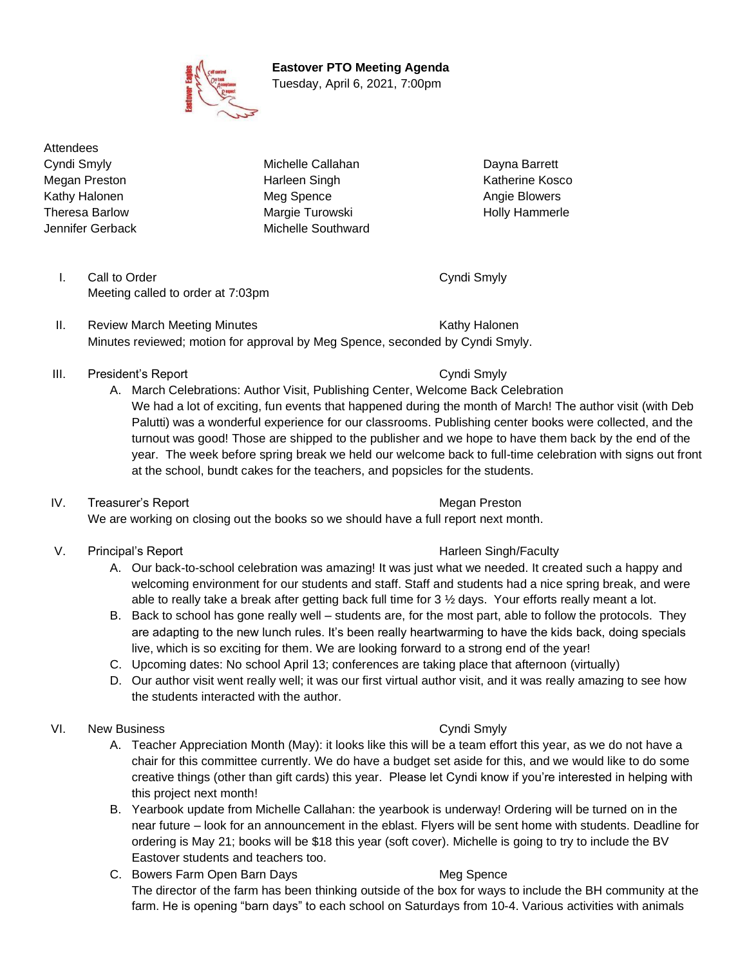**Eastover PTO Meeting Agenda**

Tuesday, April 6, 2021, 7:00pm

**Attendees** 

Cyndi Smyly **Michelle Callahan** Dayna Barrett Megan Preston **Marleen Singh Katherine Kosco** Katherine Kosco Kathy Halonen **Meg Spence** Angie Blowers **Meg Spence** Angie Blowers Theresa Barlow **Margie Turowski** Holly Hammerle Jennifer Gerback Michelle Southward

- I. Call to Order Cyndi Smyly Cyndi Smyly Meeting called to order at 7:03pm
- II. Review March Meeting Minutes **Kathy Halonen** Kathy Halonen Minutes reviewed; motion for approval by Meg Spence, seconded by Cyndi Smyly.
- III. President's Report Cyndi Smyly
	- A. March Celebrations: Author Visit, Publishing Center, Welcome Back Celebration We had a lot of exciting, fun events that happened during the month of March! The author visit (with Deb Palutti) was a wonderful experience for our classrooms. Publishing center books were collected, and the turnout was good! Those are shipped to the publisher and we hope to have them back by the end of the year. The week before spring break we held our welcome back to full-time celebration with signs out front at the school, bundt cakes for the teachers, and popsicles for the students.
- IV. Treasurer's Report **Megan Preston** Megan Preston We are working on closing out the books so we should have a full report next month.
- V. Principal's Report **Harleen Singh/Faculty** 
	- A. Our back-to-school celebration was amazing! It was just what we needed. It created such a happy and welcoming environment for our students and staff. Staff and students had a nice spring break, and were able to really take a break after getting back full time for 3 ½ days. Your efforts really meant a lot.
	- B. Back to school has gone really well students are, for the most part, able to follow the protocols. They are adapting to the new lunch rules. It's been really heartwarming to have the kids back, doing specials live, which is so exciting for them. We are looking forward to a strong end of the year!
	- C. Upcoming dates: No school April 13; conferences are taking place that afternoon (virtually)
	- D. Our author visit went really well; it was our first virtual author visit, and it was really amazing to see how the students interacted with the author.
- VI. New Business **Cyndi Smyly** Cyndi Smyly
	- A. Teacher Appreciation Month (May): it looks like this will be a team effort this year, as we do not have a chair for this committee currently. We do have a budget set aside for this, and we would like to do some creative things (other than gift cards) this year. Please let Cyndi know if you're interested in helping with this project next month!
	- B. Yearbook update from Michelle Callahan: the yearbook is underway! Ordering will be turned on in the near future – look for an announcement in the eblast. Flyers will be sent home with students. Deadline for ordering is May 21; books will be \$18 this year (soft cover). Michelle is going to try to include the BV Eastover students and teachers too.
	- C. Bowers Farm Open Barn Days Meg Spence The director of the farm has been thinking outside of the box for ways to include the BH community at the farm. He is opening "barn days" to each school on Saturdays from 10-4. Various activities with animals